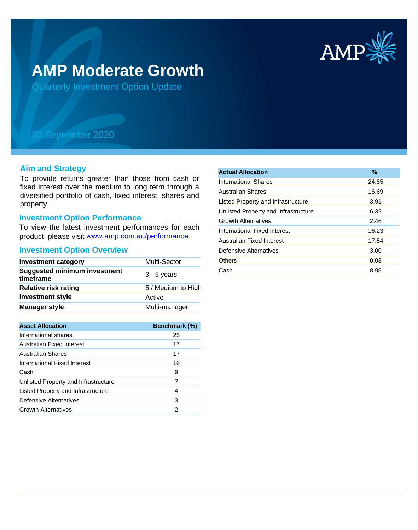

# **AMP Moderate Growth**

Quarterly Investment Option Update

## 30 September 2020

#### **Aim and Strategy**

To provide returns greater than those from cash or fixed interest over the medium to long term through a diversified portfolio of cash, fixed interest, shares and property.

#### **Investment Option Performance**

To view the latest investment performances for each product, please visit www.amp.com.au/performance

#### **Investment Option Overview**

| <b>Investment category</b>                       | Multi-Sector       |
|--------------------------------------------------|--------------------|
| <b>Suggested minimum investment</b><br>timeframe | $3 - 5$ years      |
| <b>Relative risk rating</b>                      | 5 / Medium to High |
| <b>Investment style</b>                          | Active             |
| <b>Manager style</b>                             | Multi-manager      |

| <b>Asset Allocation</b>              | <b>Benchmark (%)</b> |
|--------------------------------------|----------------------|
| International shares                 | 25                   |
| Australian Fixed Interest            | 17                   |
| Australian Shares                    | 17                   |
| International Fixed Interest         | 16                   |
| Cash                                 | 9                    |
| Unlisted Property and Infrastructure | 7                    |
| Listed Property and Infrastructure   | 4                    |
| Defensive Alternatives               | 3                    |
| <b>Growth Alternatives</b>           | 2                    |

| <b>Actual Allocation</b>             | $\frac{9}{6}$ |
|--------------------------------------|---------------|
| International Shares                 | 24.85         |
| Australian Shares                    | 16.69         |
| Listed Property and Infrastructure   | 3.91          |
| Unlisted Property and Infrastructure | 6.32          |
| <b>Growth Alternatives</b>           | 2.46          |
| International Fixed Interest         | 16.23         |
| Australian Fixed Interest            | 17.54         |
| Defensive Alternatives               | 3.00          |
| Others                               | 0.03          |
| Cash                                 | 8.98          |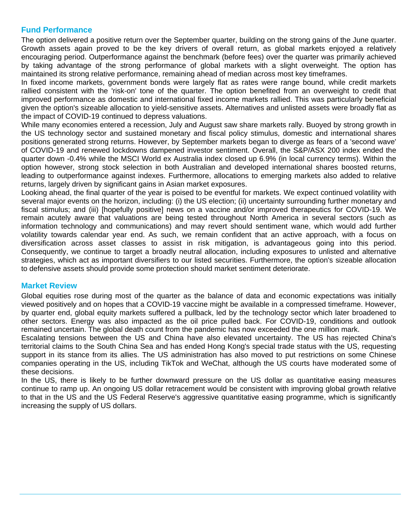## **Fund Performance**

The option delivered a positive return over the September quarter, building on the strong gains of the June quarter. Growth assets again proved to be the key drivers of overall return, as global markets enjoyed a relatively encouraging period. Outperformance against the benchmark (before fees) over the quarter was primarily achieved by taking advantage of the strong performance of global markets with a slight overweight. The option has maintained its strong relative performance, remaining ahead of median across most key timeframes.

In fixed income markets, government bonds were largely flat as rates were range bound, while credit markets rallied consistent with the 'risk-on' tone of the quarter. The option benefited from an overweight to credit that improved performance as domestic and international fixed income markets rallied. This was particularly beneficial given the option's sizeable allocation to yield-sensitive assets. Alternatives and unlisted assets were broadly flat as the impact of COVID-19 continued to depress valuations.

While many economies entered a recession, July and August saw share markets rally. Buoyed by strong growth in the US technology sector and sustained monetary and fiscal policy stimulus, domestic and international shares positions generated strong returns. However, by September markets began to diverge as fears of a 'second wave' of COVID-19 and renewed lockdowns dampened investor sentiment. Overall, the S&P/ASX 200 index ended the quarter down -0.4% while the MSCI World ex Australia index closed up 6.9% (in local currency terms). Within the option however, strong stock selection in both Australian and developed international shares boosted returns, leading to outperformance against indexes. Furthermore, allocations to emerging markets also added to relative returns, largely driven by significant gains in Asian market exposures.

Looking ahead, the final quarter of the year is poised to be eventful for markets. We expect continued volatility with several major events on the horizon, including: (i) the US election; (ii) uncertainty surrounding further monetary and fiscal stimulus; and (iii) [hopefully positive] news on a vaccine and/or improved therapeutics for COVID-19. We remain acutely aware that valuations are being tested throughout North America in several sectors (such as information technology and communications) and may revert should sentiment wane, which would add further volatility towards calendar year end. As such, we remain confident that an active approach, with a focus on diversification across asset classes to assist in risk mitigation, is advantageous going into this period. Consequently, we continue to target a broadly neutral allocation, including exposures to unlisted and alternative strategies, which act as important diversifiers to our listed securities. Furthermore, the option's sizeable allocation to defensive assets should provide some protection should market sentiment deteriorate.

### **Market Review**

Global equities rose during most of the quarter as the balance of data and economic expectations was initially viewed positively and on hopes that a COVID-19 vaccine might be available in a compressed timeframe. However, by quarter end, global equity markets suffered a pullback, led by the technology sector which later broadened to other sectors. Energy was also impacted as the oil price pulled back. For COVID-19, conditions and outlook remained uncertain. The global death count from the pandemic has now exceeded the one million mark.

Escalating tensions between the US and China have also elevated uncertainty. The US has rejected China's territorial claims to the South China Sea and has ended Hong Kong's special trade status with the US, requesting support in its stance from its allies. The US administration has also moved to put restrictions on some Chinese companies operating in the US, including TikTok and WeChat, although the US courts have moderated some of these decisions.

In the US, there is likely to be further downward pressure on the US dollar as quantitative easing measures continue to ramp up. An ongoing US dollar retracement would be consistent with improving global growth relative to that in the US and the US Federal Reserve's aggressive quantitative easing programme, which is significantly increasing the supply of US dollars.